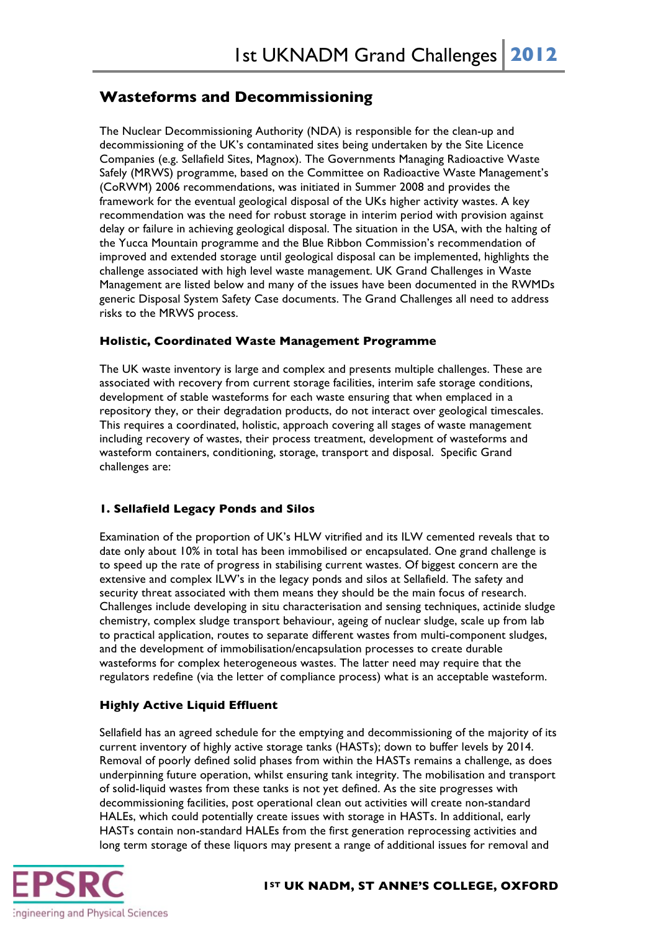# **Wasteforms and Decommissioning**

The Nuclear Decommissioning Authority (NDA) is responsible for the clean-up and decommissioning of the UK's contaminated sites being undertaken by the Site Licence Companies (e.g. Sellafield Sites, Magnox). The Governments Managing Radioactive Waste Safely (MRWS) programme, based on the Committee on Radioactive Waste Management's (CoRWM) 2006 recommendations, was initiated in Summer 2008 and provides the framework for the eventual geological disposal of the UKs higher activity wastes. A key recommendation was the need for robust storage in interim period with provision against delay or failure in achieving geological disposal. The situation in the USA, with the halting of the Yucca Mountain programme and the Blue Ribbon Commission's recommendation of improved and extended storage until geological disposal can be implemented, highlights the challenge associated with high level waste management. UK Grand Challenges in Waste Management are listed below and many of the issues have been documented in the RWMDs generic Disposal System Safety Case documents. The Grand Challenges all need to address risks to the MRWS process.

## **Holistic, Coordinated Waste Management Programme**

The UK waste inventory is large and complex and presents multiple challenges. These are associated with recovery from current storage facilities, interim safe storage conditions, development of stable wasteforms for each waste ensuring that when emplaced in a repository they, or their degradation products, do not interact over geological timescales. This requires a coordinated, holistic, approach covering all stages of waste management including recovery of wastes, their process treatment, development of wasteforms and wasteform containers, conditioning, storage, transport and disposal. Specific Grand challenges are:

# **1. Sellafield Legacy Ponds and Silos**

Examination of the proportion of UK's HLW vitrified and its ILW cemented reveals that to date only about 10% in total has been immobilised or encapsulated. One grand challenge is to speed up the rate of progress in stabilising current wastes. Of biggest concern are the extensive and complex ILW's in the legacy ponds and silos at Sellafield. The safety and security threat associated with them means they should be the main focus of research. Challenges include developing in situ characterisation and sensing techniques, actinide sludge chemistry, complex sludge transport behaviour, ageing of nuclear sludge, scale up from lab to practical application, routes to separate different wastes from multi-component sludges, and the development of immobilisation/encapsulation processes to create durable wasteforms for complex heterogeneous wastes. The latter need may require that the regulators redefine (via the letter of compliance process) what is an acceptable wasteform.

# **Highly Active Liquid Effluent**

Sellafield has an agreed schedule for the emptying and decommissioning of the majority of its current inventory of highly active storage tanks (HASTs); down to buffer levels by 2014. Removal of poorly defined solid phases from within the HASTs remains a challenge, as does underpinning future operation, whilst ensuring tank integrity. The mobilisation and transport of solid-liquid wastes from these tanks is not yet defined. As the site progresses with decommissioning facilities, post operational clean out activities will create non-standard HALEs, which could potentially create issues with storage in HASTs. In additional, early HASTs contain non-standard HALEs from the first generation reprocessing activities and long term storage of these liquors may present a range of additional issues for removal and



#### **1ST UK NADM, ST ANNE'S COLLEGE, OXFORD**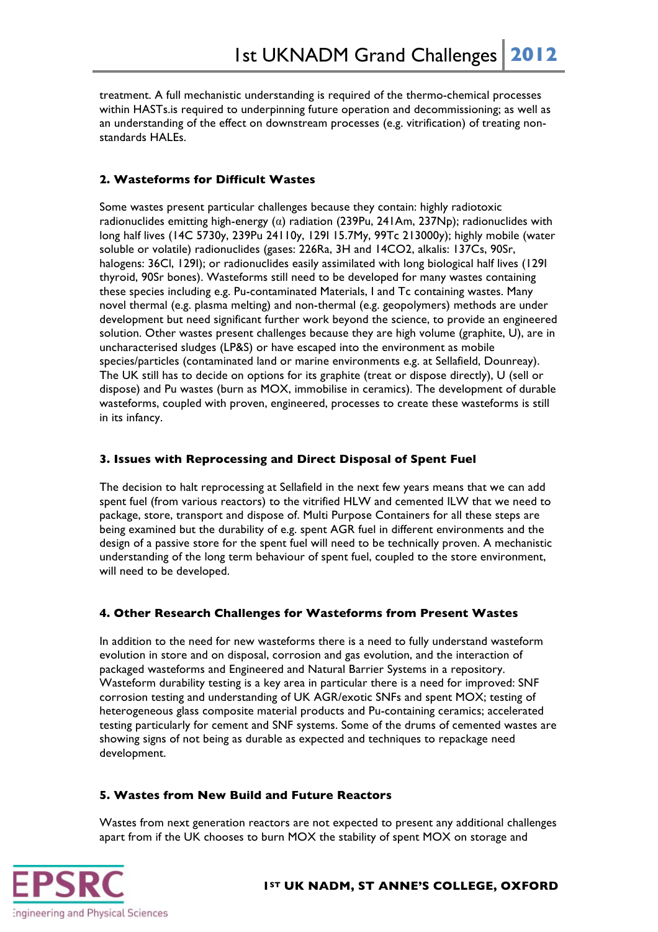treatment. A full mechanistic understanding is required of the thermo-chemical processes within HASTs.is required to underpinning future operation and decommissioning; as well as an understanding of the effect on downstream processes (e.g. vitrification) of treating nonstandards HALEs.

## **2. Wasteforms for Difficult Wastes**

Some wastes present particular challenges because they contain: highly radiotoxic radionuclides emitting high-energy (α) radiation (239Pu, 241Am, 237Np); radionuclides with long half lives (14C 5730y, 239Pu 24110y, 129I 15.7My, 99Tc 213000y); highly mobile (water soluble or volatile) radionuclides (gases: 226Ra, 3H and 14CO2, alkalis: 137Cs, 90Sr, halogens: 36Cl, 129I); or radionuclides easily assimilated with long biological half lives (129I thyroid, 90Sr bones). Wasteforms still need to be developed for many wastes containing these species including e.g. Pu-contaminated Materials, I and Tc containing wastes. Many novel thermal (e.g. plasma melting) and non-thermal (e.g. geopolymers) methods are under development but need significant further work beyond the science, to provide an engineered solution. Other wastes present challenges because they are high volume (graphite, U), are in uncharacterised sludges (LP&S) or have escaped into the environment as mobile species/particles (contaminated land or marine environments e.g. at Sellafield, Dounreay). The UK still has to decide on options for its graphite (treat or dispose directly), U (sell or dispose) and Pu wastes (burn as MOX, immobilise in ceramics). The development of durable wasteforms, coupled with proven, engineered, processes to create these wasteforms is still in its infancy.

#### **3. Issues with Reprocessing and Direct Disposal of Spent Fuel**

The decision to halt reprocessing at Sellafield in the next few years means that we can add spent fuel (from various reactors) to the vitrified HLW and cemented ILW that we need to package, store, transport and dispose of. Multi Purpose Containers for all these steps are being examined but the durability of e.g. spent AGR fuel in different environments and the design of a passive store for the spent fuel will need to be technically proven. A mechanistic understanding of the long term behaviour of spent fuel, coupled to the store environment, will need to be developed.

# **4. Other Research Challenges for Wasteforms from Present Wastes**

In addition to the need for new wasteforms there is a need to fully understand wasteform evolution in store and on disposal, corrosion and gas evolution, and the interaction of packaged wasteforms and Engineered and Natural Barrier Systems in a repository. Wasteform durability testing is a key area in particular there is a need for improved: SNF corrosion testing and understanding of UK AGR/exotic SNFs and spent MOX; testing of heterogeneous glass composite material products and Pu-containing ceramics; accelerated testing particularly for cement and SNF systems. Some of the drums of cemented wastes are showing signs of not being as durable as expected and techniques to repackage need development.

#### **5. Wastes from New Build and Future Reactors**

Wastes from next generation reactors are not expected to present any additional challenges apart from if the UK chooses to burn MOX the stability of spent MOX on storage and